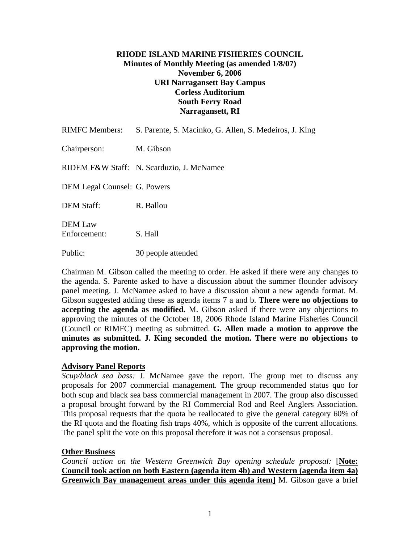### **RHODE ISLAND MARINE FISHERIES COUNCIL Minutes of Monthly Meeting (as amended 1/8/07) November 6, 2006 URI Narragansett Bay Campus Corless Auditorium South Ferry Road Narragansett, RI**

| <b>RIMFC Members:</b>               | S. Parente, S. Macinko, G. Allen, S. Medeiros, J. King |
|-------------------------------------|--------------------------------------------------------|
| Chairperson:                        | M. Gibson                                              |
|                                     | RIDEM F&W Staff: N. Scarduzio, J. McNamee              |
| <b>DEM Legal Counsel: G. Powers</b> |                                                        |
| <b>DEM Staff:</b>                   | R. Ballou                                              |
| DEM Law<br>Enforcement:             | S. Hall                                                |
| Public:                             | 30 people attended                                     |

Chairman M. Gibson called the meeting to order. He asked if there were any changes to the agenda. S. Parente asked to have a discussion about the summer flounder advisory panel meeting. J. McNamee asked to have a discussion about a new agenda format. M. Gibson suggested adding these as agenda items 7 a and b. **There were no objections to accepting the agenda as modified.** M. Gibson asked if there were any objections to approving the minutes of the October 18, 2006 Rhode Island Marine Fisheries Council (Council or RIMFC) meeting as submitted. **G. Allen made a motion to approve the minutes as submitted. J. King seconded the motion. There were no objections to approving the motion.** 

#### **Advisory Panel Reports**

*Scup/black sea bass:* J. McNamee gave the report. The group met to discuss any proposals for 2007 commercial management. The group recommended status quo for both scup and black sea bass commercial management in 2007. The group also discussed a proposal brought forward by the RI Commercial Rod and Reel Anglers Association. This proposal requests that the quota be reallocated to give the general category 60% of the RI quota and the floating fish traps 40%, which is opposite of the current allocations. The panel split the vote on this proposal therefore it was not a consensus proposal.

#### **Other Business**

*Council action on the Western Greenwich Bay opening schedule proposal:* [**Note: Council took action on both Eastern (agenda item 4b) and Western (agenda item 4a) Greenwich Bay management areas under this agenda item]** M. Gibson gave a brief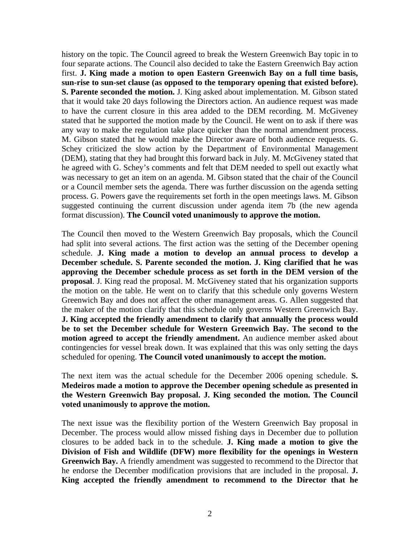history on the topic. The Council agreed to break the Western Greenwich Bay topic in to four separate actions. The Council also decided to take the Eastern Greenwich Bay action first. **J. King made a motion to open Eastern Greenwich Bay on a full time basis, sun-rise to sun-set clause (as opposed to the temporary opening that existed before). S. Parente seconded the motion.** J. King asked about implementation. M. Gibson stated that it would take 20 days following the Directors action. An audience request was made to have the current closure in this area added to the DEM recording. M. McGiveney stated that he supported the motion made by the Council. He went on to ask if there was any way to make the regulation take place quicker than the normal amendment process. M. Gibson stated that he would make the Director aware of both audience requests. G. Schey criticized the slow action by the Department of Environmental Management (DEM), stating that they had brought this forward back in July. M. McGiveney stated that he agreed with G. Schey's comments and felt that DEM needed to spell out exactly what was necessary to get an item on an agenda. M. Gibson stated that the chair of the Council or a Council member sets the agenda. There was further discussion on the agenda setting process. G. Powers gave the requirements set forth in the open meetings laws. M. Gibson suggested continuing the current discussion under agenda item 7b (the new agenda format discussion). **The Council voted unanimously to approve the motion.** 

The Council then moved to the Western Greenwich Bay proposals, which the Council had split into several actions. The first action was the setting of the December opening schedule. **J. King made a motion to develop an annual process to develop a December schedule. S. Parente seconded the motion. J. King clarified that he was approving the December schedule process as set forth in the DEM version of the proposal**. J. King read the proposal. M. McGiveney stated that his organization supports the motion on the table. He went on to clarify that this schedule only governs Western Greenwich Bay and does not affect the other management areas. G. Allen suggested that the maker of the motion clarify that this schedule only governs Western Greenwich Bay. **J. King accepted the friendly amendment to clarify that annually the process would be to set the December schedule for Western Greenwich Bay. The second to the motion agreed to accept the friendly amendment.** An audience member asked about contingencies for vessel break down. It was explained that this was only setting the days scheduled for opening. **The Council voted unanimously to accept the motion.**

The next item was the actual schedule for the December 2006 opening schedule. **S. Medeiros made a motion to approve the December opening schedule as presented in the Western Greenwich Bay proposal. J. King seconded the motion. The Council voted unanimously to approve the motion.**

The next issue was the flexibility portion of the Western Greenwich Bay proposal in December. The process would allow missed fishing days in December due to pollution closures to be added back in to the schedule. **J. King made a motion to give the Division of Fish and Wildlife (DFW) more flexibility for the openings in Western Greenwich Bay.** A friendly amendment was suggested to recommend to the Director that he endorse the December modification provisions that are included in the proposal. **J. King accepted the friendly amendment to recommend to the Director that he**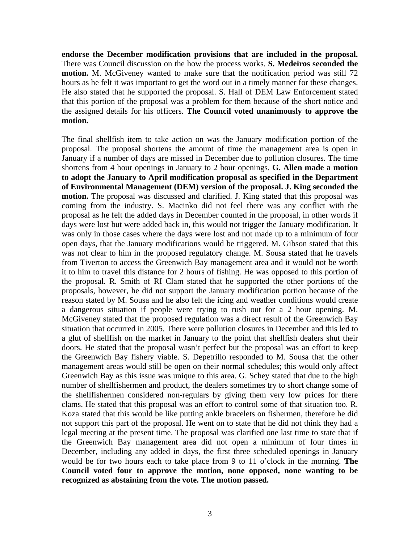**endorse the December modification provisions that are included in the proposal.**  There was Council discussion on the how the process works. **S. Medeiros seconded the motion.** M. McGiveney wanted to make sure that the notification period was still 72 hours as he felt it was important to get the word out in a timely manner for these changes. He also stated that he supported the proposal. S. Hall of DEM Law Enforcement stated that this portion of the proposal was a problem for them because of the short notice and the assigned details for his officers. **The Council voted unanimously to approve the motion.**

The final shellfish item to take action on was the January modification portion of the proposal. The proposal shortens the amount of time the management area is open in January if a number of days are missed in December due to pollution closures. The time shortens from 4 hour openings in January to 2 hour openings. **G. Allen made a motion to adopt the January to April modification proposal as specified in the Department of Environmental Management (DEM) version of the proposal. J. King seconded the motion.** The proposal was discussed and clarified. J. King stated that this proposal was coming from the industry. S. Macinko did not feel there was any conflict with the proposal as he felt the added days in December counted in the proposal, in other words if days were lost but were added back in, this would not trigger the January modification. It was only in those cases where the days were lost and not made up to a minimum of four open days, that the January modifications would be triggered. M. Gibson stated that this was not clear to him in the proposed regulatory change. M. Sousa stated that he travels from Tiverton to access the Greenwich Bay management area and it would not be worth it to him to travel this distance for 2 hours of fishing. He was opposed to this portion of the proposal. R. Smith of RI Clam stated that he supported the other portions of the proposals, however, he did not support the January modification portion because of the reason stated by M. Sousa and he also felt the icing and weather conditions would create a dangerous situation if people were trying to rush out for a 2 hour opening. M. McGiveney stated that the proposed regulation was a direct result of the Greenwich Bay situation that occurred in 2005. There were pollution closures in December and this led to a glut of shellfish on the market in January to the point that shellfish dealers shut their doors. He stated that the proposal wasn't perfect but the proposal was an effort to keep the Greenwich Bay fishery viable. S. Depetrillo responded to M. Sousa that the other management areas would still be open on their normal schedules; this would only affect Greenwich Bay as this issue was unique to this area. G. Schey stated that due to the high number of shellfishermen and product, the dealers sometimes try to short change some of the shellfishermen considered non-regulars by giving them very low prices for there clams. He stated that this proposal was an effort to control some of that situation too. R. Koza stated that this would be like putting ankle bracelets on fishermen, therefore he did not support this part of the proposal. He went on to state that he did not think they had a legal meeting at the present time. The proposal was clarified one last time to state that if the Greenwich Bay management area did not open a minimum of four times in December, including any added in days, the first three scheduled openings in January would be for two hours each to take place from 9 to 11 o'clock in the morning. **The Council voted four to approve the motion, none opposed, none wanting to be recognized as abstaining from the vote. The motion passed.**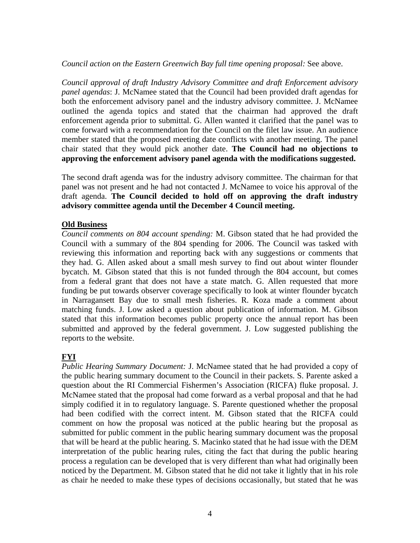*Council action on the Eastern Greenwich Bay full time opening proposal:* See above.

*Council approval of draft Industry Advisory Committee and draft Enforcement advisory panel agendas*: J. McNamee stated that the Council had been provided draft agendas for both the enforcement advisory panel and the industry advisory committee. J. McNamee outlined the agenda topics and stated that the chairman had approved the draft enforcement agenda prior to submittal. G. Allen wanted it clarified that the panel was to come forward with a recommendation for the Council on the filet law issue. An audience member stated that the proposed meeting date conflicts with another meeting. The panel chair stated that they would pick another date. **The Council had no objections to approving the enforcement advisory panel agenda with the modifications suggested.**

The second draft agenda was for the industry advisory committee. The chairman for that panel was not present and he had not contacted J. McNamee to voice his approval of the draft agenda. **The Council decided to hold off on approving the draft industry advisory committee agenda until the December 4 Council meeting.**

#### **Old Business**

*Council comments on 804 account spending:* M. Gibson stated that he had provided the Council with a summary of the 804 spending for 2006. The Council was tasked with reviewing this information and reporting back with any suggestions or comments that they had. G. Allen asked about a small mesh survey to find out about winter flounder bycatch. M. Gibson stated that this is not funded through the 804 account, but comes from a federal grant that does not have a state match. G. Allen requested that more funding be put towards observer coverage specifically to look at winter flounder bycatch in Narragansett Bay due to small mesh fisheries. R. Koza made a comment about matching funds. J. Low asked a question about publication of information. M. Gibson stated that this information becomes public property once the annual report has been submitted and approved by the federal government. J. Low suggested publishing the reports to the website.

# **FYI**

*Public Hearing Summary Document:* J. McNamee stated that he had provided a copy of the public hearing summary document to the Council in their packets. S. Parente asked a question about the RI Commercial Fishermen's Association (RICFA) fluke proposal. J. McNamee stated that the proposal had come forward as a verbal proposal and that he had simply codified it in to regulatory language. S. Parente questioned whether the proposal had been codified with the correct intent. M. Gibson stated that the RICFA could comment on how the proposal was noticed at the public hearing but the proposal as submitted for public comment in the public hearing summary document was the proposal that will be heard at the public hearing. S. Macinko stated that he had issue with the DEM interpretation of the public hearing rules, citing the fact that during the public hearing process a regulation can be developed that is very different than what had originally been noticed by the Department. M. Gibson stated that he did not take it lightly that in his role as chair he needed to make these types of decisions occasionally, but stated that he was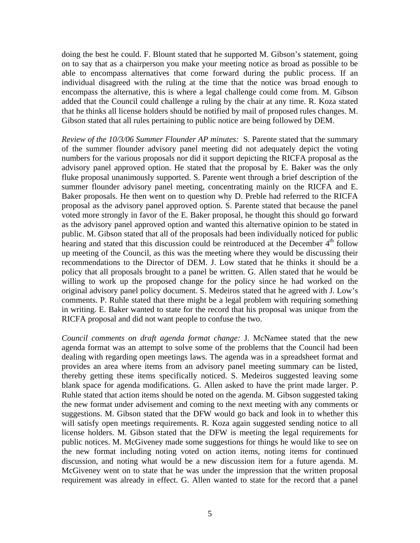doing the best he could. F. Blount stated that he supported M. Gibson's statement, going on to say that as a chairperson you make your meeting notice as broad as possible to be able to encompass alternatives that come forward during the public process. If an individual disagreed with the ruling at the time that the notice was broad enough to encompass the alternative, this is where a legal challenge could come from. M. Gibson added that the Council could challenge a ruling by the chair at any time. R. Koza stated that he thinks all license holders should be notified by mail of proposed rules changes. M. Gibson stated that all rules pertaining to public notice are being followed by DEM.

*Review of the 10/3/06 Summer Flounder AP minutes:* S. Parente stated that the summary of the summer flounder advisory panel meeting did not adequately depict the voting numbers for the various proposals nor did it support depicting the RICFA proposal as the advisory panel approved option. He stated that the proposal by E. Baker was the only fluke proposal unanimously supported. S. Parente went through a brief description of the summer flounder advisory panel meeting, concentrating mainly on the RICFA and E. Baker proposals. He then went on to question why D. Preble had referred to the RICFA proposal as the advisory panel approved option. S. Parente stated that because the panel voted more strongly in favor of the E. Baker proposal, he thought this should go forward as the advisory panel approved option and wanted this alternative opinion to be stated in public. M. Gibson stated that all of the proposals had been individually noticed for public hearing and stated that this discussion could be reintroduced at the December  $4<sup>th</sup>$  follow up meeting of the Council, as this was the meeting where they would be discussing their recommendations to the Director of DEM. J. Low stated that he thinks it should be a policy that all proposals brought to a panel be written. G. Allen stated that he would be willing to work up the proposed change for the policy since he had worked on the original advisory panel policy document. S. Medeiros stated that he agreed with J. Low's comments. P. Ruhle stated that there might be a legal problem with requiring something in writing. E. Baker wanted to state for the record that his proposal was unique from the RICFA proposal and did not want people to confuse the two.

*Council comments on draft agenda format change:* J. McNamee stated that the new agenda format was an attempt to solve some of the problems that the Council had been dealing with regarding open meetings laws. The agenda was in a spreadsheet format and provides an area where items from an advisory panel meeting summary can be listed, thereby getting these items specifically noticed. S. Medeiros suggested leaving some blank space for agenda modifications. G. Allen asked to have the print made larger. P. Ruhle stated that action items should be noted on the agenda. M. Gibson suggested taking the new format under advisement and coming to the next meeting with any comments or suggestions. M. Gibson stated that the DFW would go back and look in to whether this will satisfy open meetings requirements. R. Koza again suggested sending notice to all license holders. M. Gibson stated that the DFW is meeting the legal requirements for public notices. M. McGiveney made some suggestions for things he would like to see on the new format including noting voted on action items, noting items for continued discussion, and noting what would be a new discussion item for a future agenda. M. McGiveney went on to state that he was under the impression that the written proposal requirement was already in effect. G. Allen wanted to state for the record that a panel